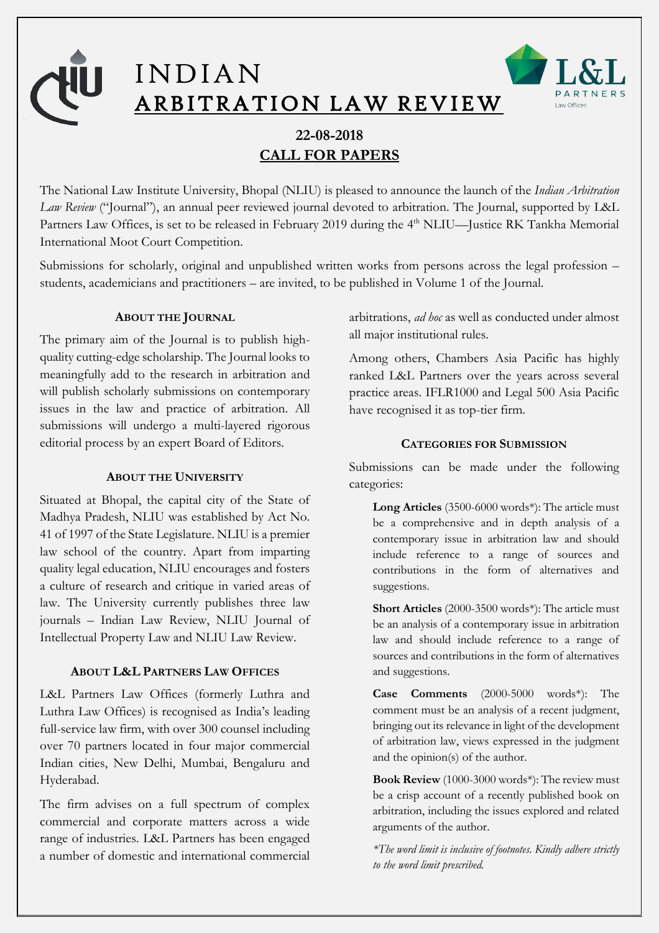

**22-08-2018 CALL FOR PAPERS**

The National Law Institute University, Bhopal (NLIU) is pleased to announce the launch of the *Indian Arbitration Law Review* ("Journal"), an annual peer reviewed journal devoted to arbitration. The Journal, supported by L&L Partners Law Offices, is set to be released in February 2019 during the 4<sup>th</sup> NLIU—Justice RK Tankha Memorial International Moot Court Competition.

Submissions for scholarly, original and unpublished written works from persons across the legal profession – students, academicians and practitioners – are invited, to be published in Volume 1 of the Journal.

# **ABOUT THE JOURNAL**

The primary aim of the Journal is to publish highquality cutting-edge scholarship. The Journal looks to meaningfully add to the research in arbitration and will publish scholarly submissions on contemporary issues in the law and practice of arbitration. All submissions will undergo a multi-layered rigorous editorial process by an expert Board of Editors.

## **ABOUT THE UNIVERSITY**

Situated at Bhopal, the capital city of the State of Madhya Pradesh, NLIU was established by Act No. 41 of 1997 of the State Legislature. NLIU is a premier law school of the country. Apart from imparting quality legal education, NLIU encourages and fosters a culture of research and critique in varied areas of law. The University currently publishes three law journals – Indian Law Review, NLIU Journal of Intellectual Property Law and NLIU Law Review.

## **ABOUT L&L PARTNERS LAW OFFICES**

L&L Partners Law Offices (formerly Luthra and Luthra Law Offices) is recognised as India's leading full-service law firm, with over 300 counsel including over 70 partners located in four major commercial Indian cities, New Delhi, Mumbai, Bengaluru and Hyderabad.

The firm advises on a full spectrum of complex commercial and corporate matters across a wide range of industries. L&L Partners has been engaged a number of domestic and international commercial

arbitrations, *ad hoc* as well as conducted under almost all major institutional rules.

Among others, Chambers Asia Pacific has highly ranked L&L Partners over the years across several practice areas. IFLR1000 and Legal 500 Asia Pacific have recognised it as top-tier firm.

## **CATEGORIES FOR SUBMISSION**

Submissions can be made under the following categories:

**Long Articles** (3500-6000 words\*): The article must be a comprehensive and in depth analysis of a contemporary issue in arbitration law and should include reference to a range of sources and contributions in the form of alternatives and suggestions.

**Short Articles** (2000-3500 words\*): The article must be an analysis of a contemporary issue in arbitration law and should include reference to a range of sources and contributions in the form of alternatives and suggestions.

**Case Comments** (2000-5000 words\*): The comment must be an analysis of a recent judgment, bringing out its relevance in light of the development of arbitration law, views expressed in the judgment and the opinion(s) of the author.

**Book Review** (1000-3000 words\*): The review must be a crisp account of a recently published book on arbitration, including the issues explored and related arguments of the author.

*\*The word limit is inclusive of footnotes. Kindly adhere strictly to the word limit prescribed.*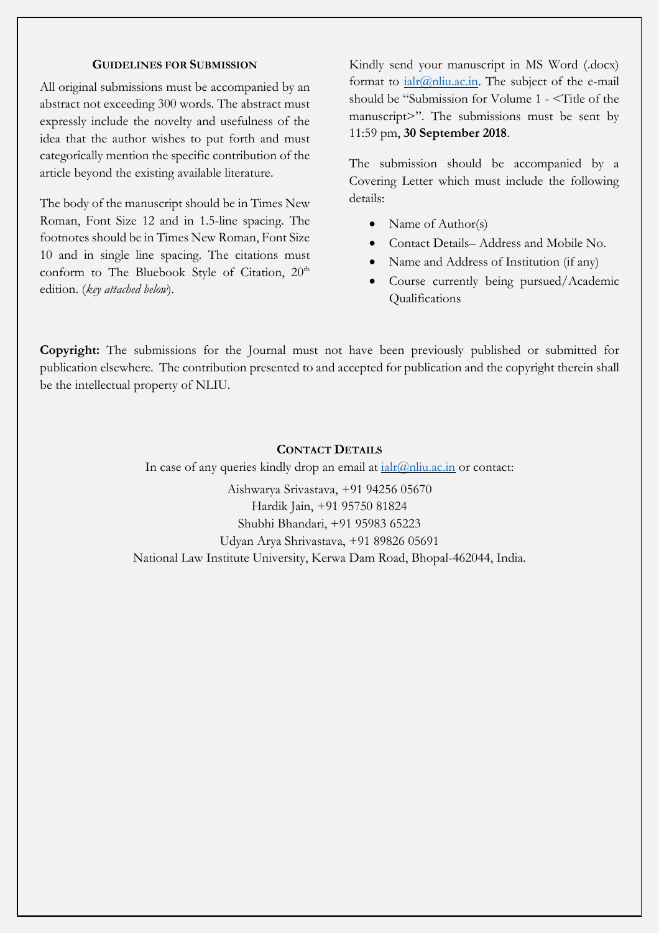#### **GUIDELINES FOR SUBMISSION**

All original submissions must be accompanied by an abstract not exceeding 300 words. The abstract must expressly include the novelty and usefulness of the idea that the author wishes to put forth and must categorically mention the specific contribution of the article beyond the existing available literature.

The body of the manuscript should be in Times New Roman, Font Size 12 and in 1.5-line spacing. The footnotes should be in Times New Roman, Font Size 10 and in single line spacing. The citations must conform to The Bluebook Style of Citation, 20<sup>th</sup> edition. (*key attached below*).

Kindly send your manuscript in MS Word (.docx) format to  $\text{ialr}(\partial \Omega)$ nliu.ac.in. The subject of the e-mail should be "Submission for Volume 1 - <Title of the manuscript>". The submissions must be sent by 11:59 pm, **30 September 2018**.

The submission should be accompanied by a Covering Letter which must include the following details:

- Name of Author(s)
- Contact Details– Address and Mobile No.
- Name and Address of Institution (if any)
- Course currently being pursued/Academic Qualifications

**Copyright:** The submissions for the Journal must not have been previously published or submitted for publication elsewhere. The contribution presented to and accepted for publication and the copyright therein shall be the intellectual property of NLIU.

# **CONTACT DETAILS**

In case of any queries kindly drop an email at  $\frac{i\alpha}{i(n)}$  nliu.ac.in or contact:

Aishwarya Srivastava, +91 94256 05670 Hardik Jain, +91 95750 81824 Shubhi Bhandari, +91 95983 65223 Udyan Arya Shrivastava, +91 89826 05691

National Law Institute University, Kerwa Dam Road, Bhopal-462044, India.